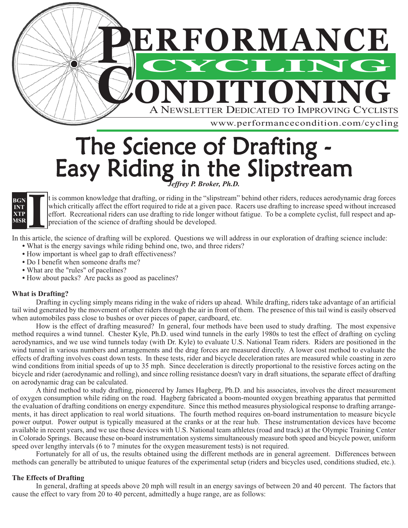

# The Science of Drafting - Easy Riding in the Slipstream *Jeffrey P. Broker, Ph.D.*



t is common knowledge that drafting, or riding in the "slipstream" behind other riders, reduces aerodynamic drag forces which critically affect the effort required to ride at a given pace. Racers use drafting to increase speed without increased effort. Recreational riders can use drafting to ride longer without fatigue. To be a complete cyclist, full respect and appreciation of the science of drafting should be developed.

In this article, the science of drafting will be explored. Questions we will address in our exploration of drafting science include:

- What is the energy savings while riding behind one, two, and three riders?
- How important is wheel gap to draft effectiveness?
- Do I benefit when someone drafts me?
- What are the "rules" of pacelines?
- How about packs? Are packs as good as pacelines?

### **What is Drafting?**

Drafting in cycling simply means riding in the wake of riders up ahead. While drafting, riders take advantage of an artificial tail wind generated by the movement of other riders through the air in front of them. The presence of this tail wind is easily observed when automobiles pass close to bushes or over pieces of paper, cardboard, etc.

How is the effect of drafting measured? In general, four methods have been used to study drafting. The most expensive method requires a wind tunnel. Chester Kyle, Ph.D. used wind tunnels in the early 1980s to test the effect of drafting on cycling aerodynamics, and we use wind tunnels today (with Dr. Kyle) to evaluate U.S. National Team riders. Riders are positioned in the wind tunnel in various numbers and arrangements and the drag forces are measured directly. A lower cost method to evaluate the effects of drafting involves coast down tests. In these tests, rider and bicycle deceleration rates are measured while coasting in zero wind conditions from initial speeds of up to 35 mph. Since deceleration is directly proportional to the resistive forces acting on the bicycle and rider (aerodynamic and rolling), and since rolling resistance doesn't vary in draft situations, the separate effect of drafting on aerodynamic drag can be calculated.

A third method to study drafting, pioneered by James Hagberg, Ph.D. and his associates, involves the direct measurement of oxygen consumption while riding on the road. Hagberg fabricated a boom-mounted oxygen breathing apparatus that permitted the evaluation of drafting conditions on energy expenditure. Since this method measures physiological response to drafting arrangements, it has direct application to real world situations. The fourth method requires on-board instrumentation to measure bicycle power output. Power output is typically measured at the cranks or at the rear hub. These instrumentation devices have become available in recent years, and we use these devices with U.S. National team athletes (road and track) at the Olympic Training Center in Colorado Springs. Because these on-board instrumentation systems simultaneously measure both speed and bicycle power, uniform speed over lengthy intervals (6 to 7 minutes for the oxygen measurement tests) is not required.

Fortunately for all of us, the results obtained using the different methods are in general agreement. Differences between methods can generally be attributed to unique features of the experimental setup (riders and bicycles used, conditions studied, etc.).

## **The Effects of Drafting**

In general, drafting at speeds above 20 mph will result in an energy savings of between 20 and 40 percent. The factors that cause the effect to vary from 20 to 40 percent, admittedly a huge range, are as follows: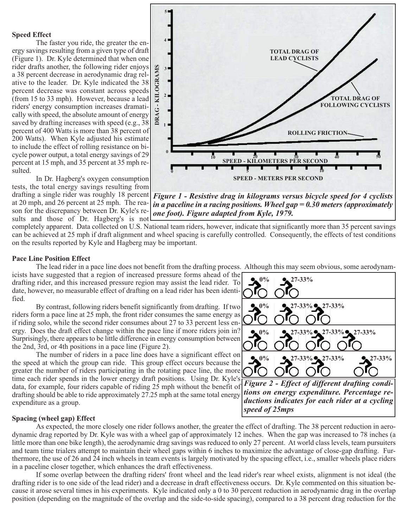#### **Speed Effect**

The faster you ride, the greater the energy savings resulting from a given type of draft (Figure 1). Dr. Kyle determined that when one rider drafts another, the following rider enjoys a 38 percent decrease in aerodynamic drag relative to the leader. Dr. Kyle indicated the 38 percent decrease was constant across speeds (from 15 to 33 mph). However, because a lead riders' energy consumption increases dramatically with speed, the absolute amount of energy saved by drafting increases with speed (e.g., 38 percent of 400 Watts is more than 38 percent of 200 Watts). When Kyle adjusted his estimate to include the effect of rolling resistance on bicycle power output, a total energy savings of 29 percent at 15 mph, and 35 percent at 35 mph resulted.

In Dr. Hagberg's oxygen consumption tests, the total energy savings resulting from at 20 mph, and 26 percent at 25 mph. The reason for the discrepancy between Dr. Kyle's results and those of Dr. Hagberg's is not



drafting a single rider was roughly 18 percent *Figure 1 - Resistive drag in kilograms versus bicycle speed for 4 cyclists in a paceline in a racing positions. Wheel gap = 0.30 meters (approximately one foot). Figure adapted from Kyle, 1979.* 

completely apparent. Data collected on U.S. National team riders, however, indicate that significantly more than 35 percent savings can be achieved at 25 mph if draft alignment and wheel spacing is carefully controlled. Consequently, the effects of test conditions on the results reported by Kyle and Hagberg may be important.

#### **Pace Line Position Effect**

The lead rider in a pace line does not benefit from the drafting process. Although this may seem obvious, some aerodynam-

icists have suggested that a region of increased pressure forms ahead of the drafting rider, and this increased pressure region may assist the lead rider. To date, however, no measurable effect of drafting on a lead rider has been identified.

By contrast, following riders benefit significantly from drafting. If two riders form a pace line at 25 mph, the front rider consumes the same energy as if riding solo, while the second rider consumes about 27 to 33 percent less energy. Does the draft effect change within the pace line if more riders join in? Surprisingly, there appears to be little difference in energy consumption between the 2nd, 3rd, or 4th positions in a pace line (Figure 2).

The number of riders in a pace line does have a significant effect on the speed at which the group can ride. This group effect occurs because the greater the number of riders participating in the rotating pace line, the more time each rider spends in the lower energy draft positions. Using Dr. Kyle's data, for example, four riders capable of riding 25 mph without the benefit of drafting should be able to ride approximately 27.25 mph at the same total energy expenditure as a group.

### **Spacing (wheel gap) Effect**

As expected, the more closely one rider follows another, the greater the effect of drafting. The 38 percent reduction in aerodynamic drag reported by Dr. Kyle was with a wheel gap of approximately 12 inches. When the gap was increased to 78 inches (a little more than one bike length), the aerodynamic drag savings was reduced to only 27 percent. At world class levels, team pursuiters and team time trialers attempt to maintain their wheel gaps within 6 inches to maximize the advantage of close-gap drafting. Furthermore, the use of 26 and 24 inch wheels in team events is largely motivated by the spacing effect, i.e., smaller wheels place riders in a paceline closer together, which enhances the draft effectiveness.

If some overlap between the drafting riders' front wheel and the lead rider's rear wheel exists, alignment is not ideal (the drafting rider is to one side of the lead rider) and a decrease in draft effectiveness occurs. Dr. Kyle commented on this situation because it arose several times in his experiments. Kyle indicated only a 0 to 30 percent reduction in aerodynamic drag in the overlap position (depending on the magnitude of the overlap and the side-to-side spacing), compared to a 38 percent drag reduction for the



*Figure 2 - Effect of different drafting conditions on energy expenditure. Percentage reductions indicates for each rider at a cycling speed of 25mps*